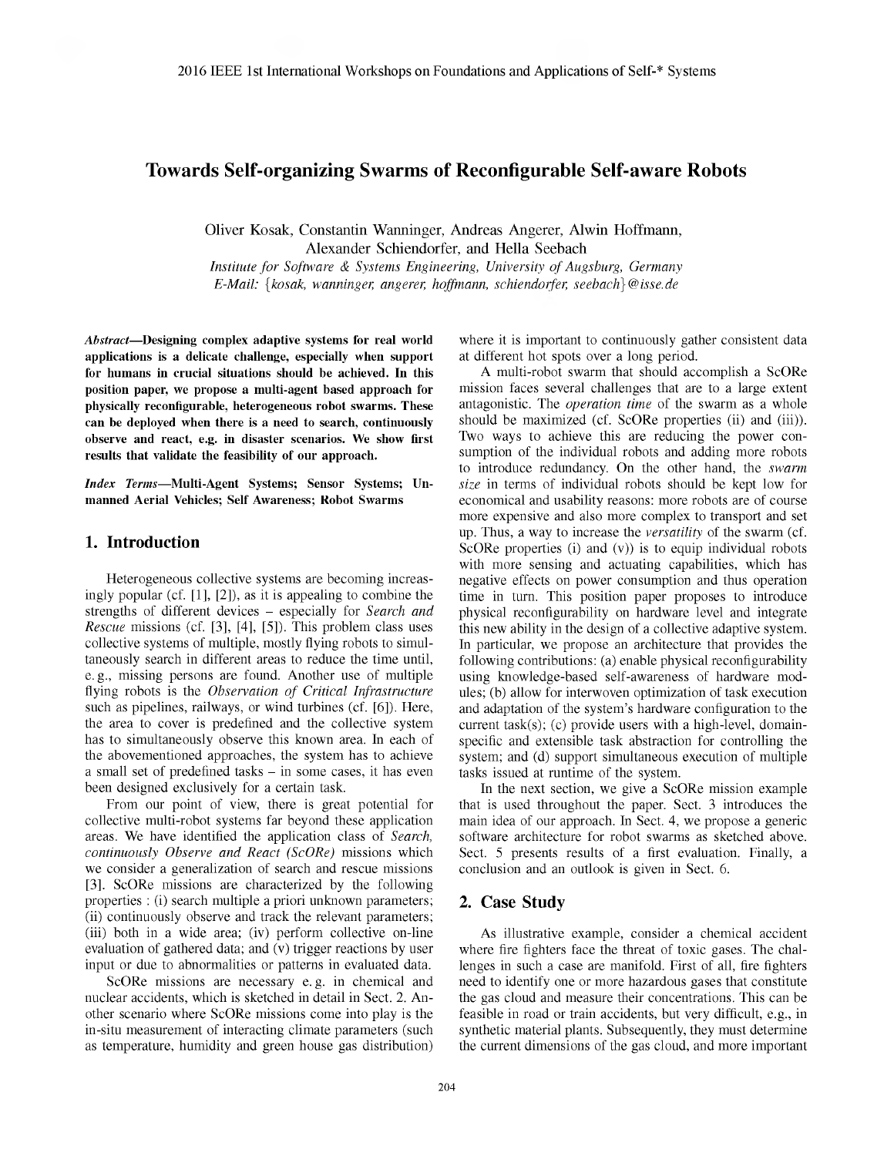# Towards Self-organizing Swarms of Reconfigurable Self-aware Robots

Oliver Kosak, Constantin Wanninger, Andreas Angerer, Alwin Hoffmann, Alexander Schiendorfer, and Hella Seebach *Institute for Software & Systems Engineering, University of Augsburg, Germany*

*E-Mail:* {*kosak, wanninger, angerer, hoffmann, schiendorfer, seebach*}*@isse.de*

*Abstract*—Designing complex adaptive systems for real world applications is a delicate challenge, especially when support for humans in crucial situations should be achieved. In this position paper, we propose a multi-agent based approach for physically reconfigurable, heterogeneous robot swarms. These can be deployed when there is a need to search, continuously observe and react, e.g. in disaster scenarios. We show first results that validate the feasibility of our approach.

*Index Terms*—Multi-Agent Systems; Sensor Systems; Unmanned Aerial Vehicles; Self Awareness; Robot Swarms

### 1. Introduction

Heterogeneous collective systems are becoming increasingly popular (cf. [1], [2]), as it is appealing to combine the strengths of different devices – especially for *Search and Rescue* missions (cf. [3], [4], [5]). This problem class uses collective systems of multiple, mostly flying robots to simultaneously search in different areas to reduce the time until, e. g., missing persons are found. Another use of multiple flying robots is the *Observation of Critical Infrastructure* such as pipelines, railways, or wind turbines (cf. [6]). Here, the area to cover is predefined and the collective system has to simultaneously observe this known area. In each of the abovementioned approaches, the system has to achieve a small set of predefined tasks – in some cases, it has even been designed exclusively for a certain task.

From our point of view, there is great potential for collective multi-robot systems far beyond these application areas. We have identified the application class of *Search, continuously Observe and React (ScORe)* missions which we consider a generalization of search and rescue missions [3]. ScORe missions are characterized by the following properties : (i) search multiple a priori unknown parameters; (ii) continuously observe and track the relevant parameters; (iii) both in a wide area; (iv) perform collective on-line evaluation of gathered data; and  $\overline{(v)}$  trigger reactions by user input or due to abnormalities or patterns in evaluated data.

ScORe missions are necessary e. g. in chemical and nuclear accidents, which is sketched in detail in Sect. 2. Another scenario where ScORe missions come into play is the in-situ measurement of interacting climate parameters (such as temperature, humidity and green house gas distribution)

where it is important to continuously gather consistent data at different hot spots over a long period.

A multi-robot swarm that should accomplish a ScORe mission faces several challenges that are to a large extent antagonistic. The *operation time* of the swarm as a whole should be maximized (cf. ScORe properties (ii) and (iii)). Two ways to achieve this are reducing the power consumption of the individual robots and adding more robots to introduce redundancy. On the other hand, the *swarm size* in terms of individual robots should be kept low for economical and usability reasons: more robots are of course more expensive and also more complex to transport and set up. Thus, a way to increase the *versatility* of the swarm (cf. ScORe properties (i) and (v)) is to equip individual robots with more sensing and actuating capabilities, which has negative effects on power consumption and thus operation time in turn. This position paper proposes to introduce physical reconfigurability on hardware level and integrate this new ability in the design of a collective adaptive system. In particular, we propose an architecture that provides the following contributions: (a) enable physical reconfigurability using knowledge-based self-awareness of hardware modules; (b) allow for interwoven optimization of task execution and adaptation of the system's hardware configuration to the current task(s); (c) provide users with a high-level, domainspecific and extensible task abstraction for controlling the system; and (d) support simultaneous execution of multiple tasks issued at runtime of the system.

In the next section, we give a ScORe mission example that is used throughout the paper. Sect. 3 introduces the main idea of our approach. In Sect. 4, we propose a generic software architecture for robot swarms as sketched above. Sect. 5 presents results of a first evaluation. Finally, a conclusion and an outlook is given in Sect. 6.

### 2. Case Study

As illustrative example, consider a chemical accident where fire fighters face the threat of toxic gases. The challenges in such a case are manifold. First of all, fire fighters need to identify one or more hazardous gases that constitute the gas cloud and measure their concentrations. This can be feasible in road or train accidents, but very difficult, e.g., in synthetic material plants. Subsequently, they must determine the current dimensions of the gas cloud, and more important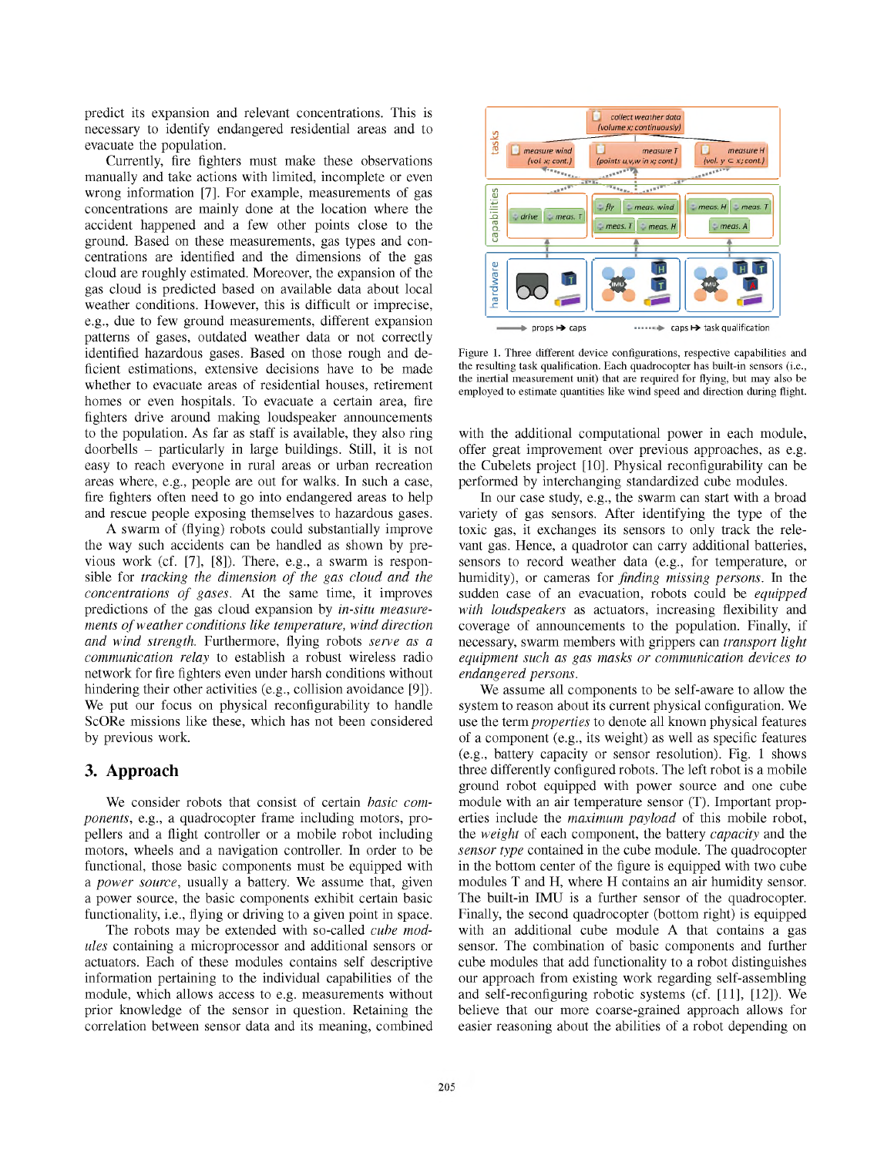predict its expansion and relevant concentrations. This is necessary to identify endangered residential areas and to evacuate the population.

Currently, fire fighters must make these observations manually and take actions with limited, incomplete or even wrong information [7]. For example, measurements of gas concentrations are mainly done at the location where the accident happened and a few other points close to the ground. Based on these measurements, gas types and concentrations are identified and the dimensions of the gas cloud are roughly estimated. Moreover, the expansion of the gas cloud is predicted based on available data about local weather conditions. However, this is difficult or imprecise, e.g., due to few ground measurements, different expansion patterns of gases, outdated weather data or not correctly identified hazardous gases. Based on those rough and deficient estimations, extensive decisions have to be made whether to evacuate areas of residential houses, retirement homes or even hospitals. To evacuate a certain area, fire fighters drive around making loudspeaker announcements to the population. As far as staff is available, they also ring doorbells – particularly in large buildings. Still, it is not easy to reach everyone in rural areas or urban recreation areas where, e.g., people are out for walks. In such a case, fire fighters often need to go into endangered areas to help and rescue people exposing themselves to hazardous gases.

A swarm of (flying) robots could substantially improve the way such accidents can be handled as shown by previous work (cf. [7], [8]). There, e.g., a swarm is responsible for *tracking the dimension of the gas cloud and the concentrations of gases*. At the same time, it improves predictions of the gas cloud expansion by *in-situ measurements of weather conditions like temperature, wind direction and wind strength.* Furthermore, flying robots *serve as a communication relay* to establish a robust wireless radio network for fire fighters even under harsh conditions without hindering their other activities (e.g., collision avoidance [9]). We put our focus on physical reconfigurability to handle ScORe missions like these, which has not been considered by previous work.

### 3. Approach

We consider robots that consist of certain *basic components*, e.g., a quadrocopter frame including motors, propellers and a flight controller or a mobile robot including motors, wheels and a navigation controller. In order to be functional, those basic components must be equipped with a *power source*, usually a battery. We assume that, given a power source, the basic components exhibit certain basic functionality, i.e., flying or driving to a given point in space.

The robots may be extended with so-called *cube modules* containing a microprocessor and additional sensors or actuators. Each of these modules contains self descriptive information pertaining to the individual capabilities of the module, which allows access to e.g. measurements without prior knowledge of the sensor in question. Retaining the correlation between sensor data and its meaning, combined



Figure 1. Three different device configurations, respective capabilities and the resulting task qualification. Each quadrocopter has built-in sensors (i.e., the inertial measurement unit) that are required for flying, but may also be employed to estimate quantities like wind speed and direction during flight.

with the additional computational power in each module, offer great improvement over previous approaches, as e.g. the Cubelets project [10]. Physical reconfigurability can be performed by interchanging standardized cube modules.

In our case study, e.g., the swarm can start with a broad variety of gas sensors. After identifying the type of the toxic gas, it exchanges its sensors to only track the relevant gas. Hence, a quadrotor can carry additional batteries, sensors to record weather data (e.g., for temperature, or humidity), or cameras for *finding missing persons*. In the sudden case of an evacuation, robots could be *equipped with loudspeakers* as actuators, increasing flexibility and coverage of announcements to the population. Finally, if necessary, swarm members with grippers can *transport light equipment such as gas masks or communication devices to endangered persons*.

We assume all components to be self-aware to allow the system to reason about its current physical configuration. We use the term *properties* to denote all known physical features of a component (e.g., its weight) as well as specific features (e.g., battery capacity or sensor resolution). Fig. 1 shows three differently configured robots. The left robot is a mobile ground robot equipped with power source and one cube module with an air temperature sensor (T). Important properties include the *maximum payload* of this mobile robot, the *weight* of each component, the battery *capacity* and the *sensor type* contained in the cube module. The quadrocopter in the bottom center of the figure is equipped with two cube modules T and H, where H contains an air humidity sensor. The built-in IMU is a further sensor of the quadrocopter. Finally, the second quadrocopter (bottom right) is equipped with an additional cube module A that contains a gas sensor. The combination of basic components and further cube modules that add functionality to a robot distinguishes our approach from existing work regarding self-assembling and self-reconfiguring robotic systems (cf. [11], [12]). We believe that our more coarse-grained approach allows for easier reasoning about the abilities of a robot depending on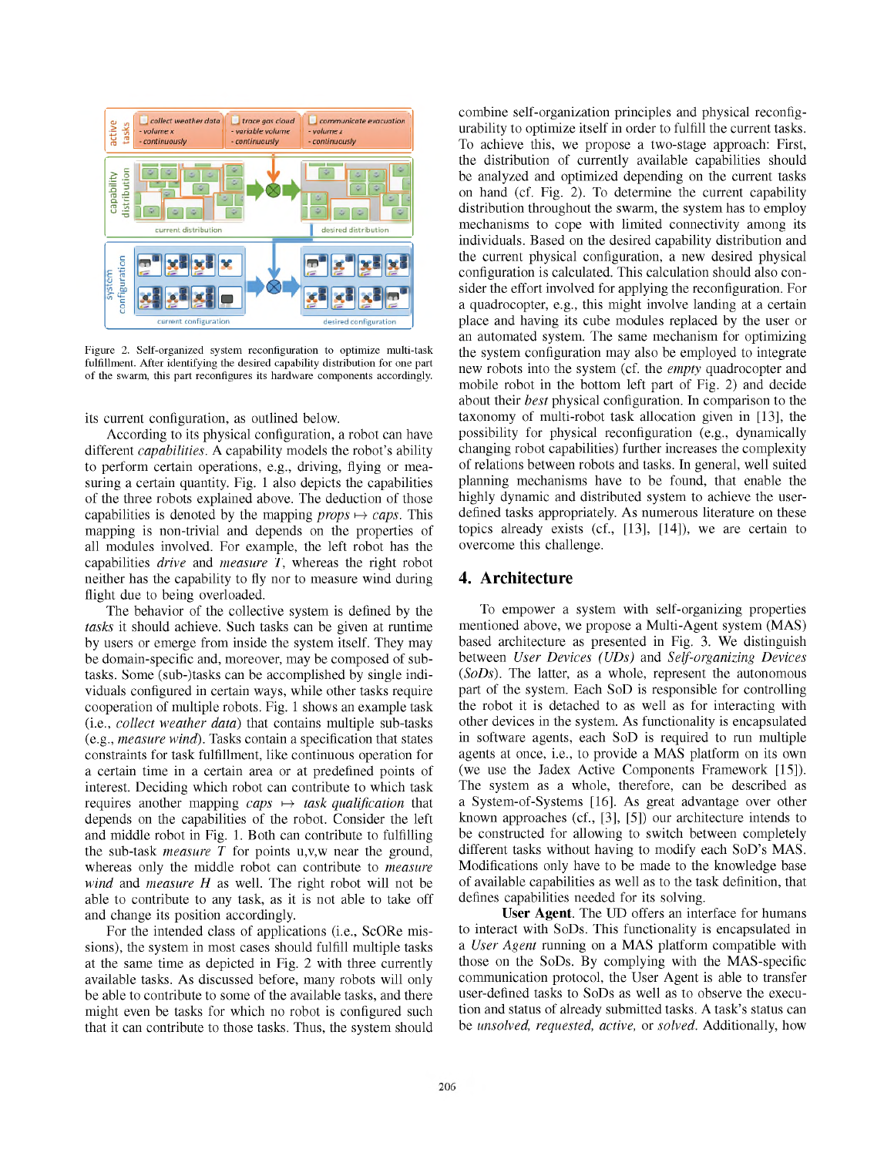

Figure 2. Self-organized system reconfiguration to optimize multi-task fulfillment. After identifying the desired capability distribution for one part of the swarm, this part reconfigures its hardware components accordingly.

its current configuration, as outlined below.

According to its physical configuration, a robot can have different *capabilities*. A capability models the robot's ability to perform certain operations, e.g., driving, flying or measuring a certain quantity. Fig. 1 also depicts the capabilities of the three robots explained above. The deduction of those capabilities is denoted by the mapping  $props \rightarrow caps$ . This mapping is non-trivial and depends on the properties of all modules involved. For example, the left robot has the capabilities *drive* and *measure T*, whereas the right robot neither has the capability to fly nor to measure wind during flight due to being overloaded.

The behavior of the collective system is defined by the *tasks* it should achieve. Such tasks can be given at runtime by users or emerge from inside the system itself. They may be domain-specific and, moreover, may be composed of subtasks. Some (sub-)tasks can be accomplished by single individuals configured in certain ways, while other tasks require cooperation of multiple robots. Fig. 1 shows an example task (i.e., *collect weather data*) that contains multiple sub-tasks (e.g., *measure wind*). Tasks contain a specification that states constraints for task fulfillment, like continuous operation for a certain time in a certain area or at predefined points of interest. Deciding which robot can contribute to which task requires another mapping  $caps \mapsto task$  *qualification* that depends on the capabilities of the robot. Consider the left and middle robot in Fig. 1. Both can contribute to fulfilling the sub-task *measure T* for points u,v,w near the ground, whereas only the middle robot can contribute to *measure wind* and *measure H* as well. The right robot will not be able to contribute to any task, as it is not able to take off and change its position accordingly.

For the intended class of applications (i.e., ScORe missions), the system in most cases should fulfill multiple tasks at the same time as depicted in Fig. 2 with three currently available tasks. As discussed before, many robots will only be able to contribute to some of the available tasks, and there might even be tasks for which no robot is configured such that it can contribute to those tasks. Thus, the system should combine self-organization principles and physical reconfigurability to optimize itself in order to fulfill the current tasks. To achieve this, we propose a two-stage approach: First, the distribution of currently available capabilities should be analyzed and optimized depending on the current tasks on hand (cf. Fig. 2). To determine the current capability distribution throughout the swarm, the system has to employ mechanisms to cope with limited connectivity among its individuals. Based on the desired capability distribution and the current physical configuration, a new desired physical configuration is calculated. This calculation should also consider the effort involved for applying the reconfiguration. For a quadrocopter, e.g., this might involve landing at a certain place and having its cube modules replaced by the user or an automated system. The same mechanism for optimizing the system configuration may also be employed to integrate new robots into the system (cf. the *empty* quadrocopter and mobile robot in the bottom left part of Fig. 2) and decide about their *best* physical configuration. In comparison to the taxonomy of multi-robot task allocation given in [13], the possibility for physical reconfiguration (e.g., dynamically changing robot capabilities) further increases the complexity of relations between robots and tasks. In general, well suited planning mechanisms have to be found, that enable the highly dynamic and distributed system to achieve the userdefined tasks appropriately. As numerous literature on these topics already exists (cf., [13], [14]), we are certain to overcome this challenge.

#### 4. Architecture

To empower a system with self-organizing properties mentioned above, we propose a Multi-Agent system (MAS) based architecture as presented in Fig. 3. We distinguish between *User Devices (UDs)* and *Self-organizing Devices* (*SoDs*). The latter, as a whole, represent the autonomous part of the system. Each SoD is responsible for controlling the robot it is detached to as well as for interacting with other devices in the system. As functionality is encapsulated in software agents, each SoD is required to run multiple agents at once, i.e., to provide a MAS platform on its own (we use the Jadex Active Components Framework [15]). The system as a whole, therefore, can be described as a System-of-Systems [16]. As great advantage over other known approaches (cf., [3], [5]) our architecture intends to be constructed for allowing to switch between completely different tasks without having to modify each SoD's MAS. Modifications only have to be made to the knowledge base of available capabilities as well as to the task definition, that defines capabilities needed for its solving.

User Agent. The UD offers an interface for humans to interact with SoDs. This functionality is encapsulated in a *User Agent* running on a MAS platform compatible with those on the SoDs. By complying with the MAS-specific communication protocol, the User Agent is able to transfer user-defined tasks to SoDs as well as to observe the execution and status of already submitted tasks. A task's status can be *unsolved, requested, active,* or *solved*. Additionally, how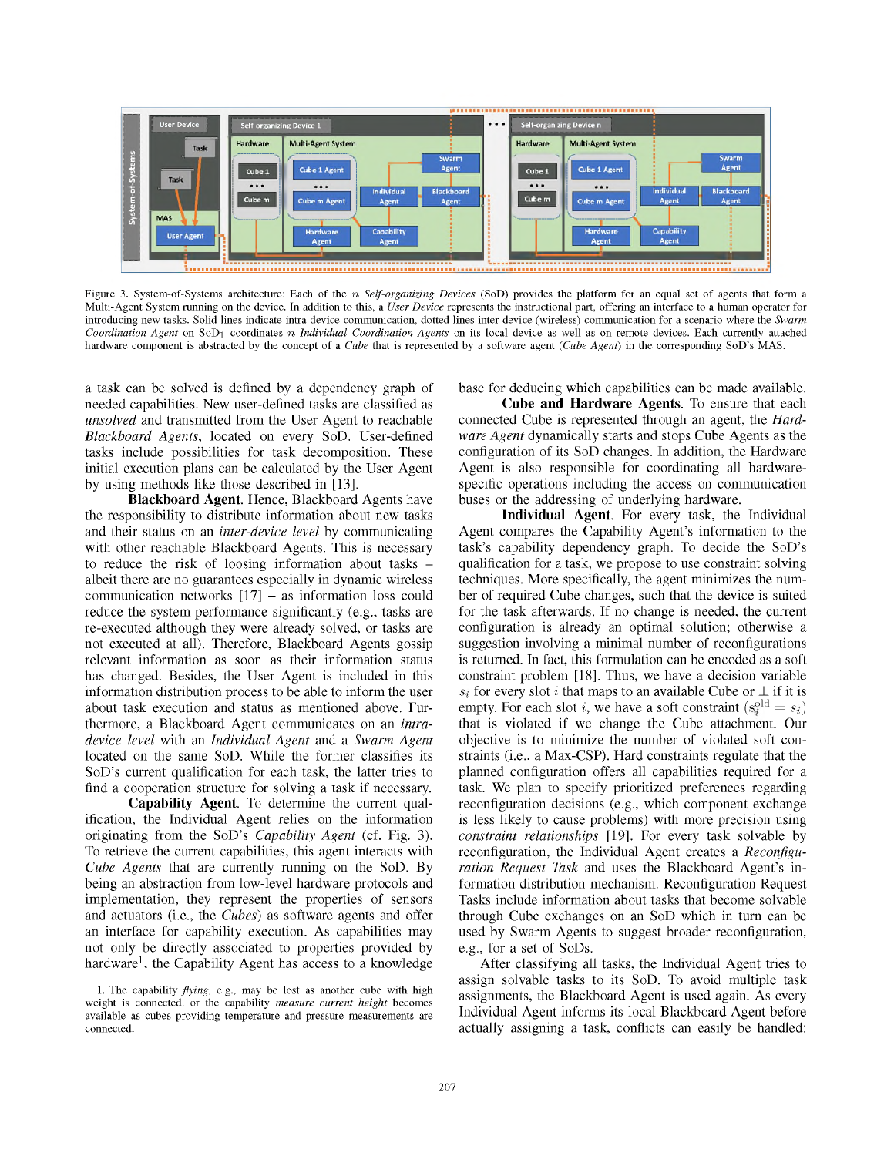

Figure 3. System-of-Systems architecture: Each of the n *Self-organizing Devices* (SoD) provides the platform for an equal set of agents that form a Multi-Agent System running on the device. In addition to this, a *User Device* represents the instructional part, offering an interface to a human operator for introducing new tasks. Solid lines indicate intra-device communication, dotted lines inter-device (wireless) communication for a scenario where the *Swarm Coordination Agent* on SoD<sup>1</sup> coordinates n *Individual Coordination Agents* on its local device as well as on remote devices. Each currently attached hardware component is abstracted by the concept of a *Cube* that is represented by a software agent (*Cube Agent*) in the corresponding SoD's MAS.

a task can be solved is defined by a dependency graph of needed capabilities. New user-defined tasks are classified as *unsolved* and transmitted from the User Agent to reachable *Blackboard Agents*, located on every SoD. User-defined tasks include possibilities for task decomposition. These initial execution plans can be calculated by the User Agent by using methods like those described in [13].

Blackboard Agent. Hence, Blackboard Agents have the responsibility to distribute information about new tasks and their status on an *inter-device level* by communicating with other reachable Blackboard Agents. This is necessary to reduce the risk of loosing information about tasks – albeit there are no guarantees especially in dynamic wireless communication networks [17] – as information loss could reduce the system performance significantly (e.g., tasks are re-executed although they were already solved, or tasks are not executed at all). Therefore, Blackboard Agents gossip relevant information as soon as their information status has changed. Besides, the User Agent is included in this information distribution process to be able to inform the user about task execution and status as mentioned above. Furthermore, a Blackboard Agent communicates on an *intradevice level* with an *Individual Agent* and a *Swarm Agent* located on the same SoD. While the former classifies its SoD's current qualification for each task, the latter tries to find a cooperation structure for solving a task if necessary.

Capability Agent. To determine the current qualification, the Individual Agent relies on the information originating from the SoD's *Capability Agent* (cf. Fig. 3). To retrieve the current capabilities, this agent interacts with *Cube Agents* that are currently running on the SoD. By being an abstraction from low-level hardware protocols and implementation, they represent the properties of sensors and actuators (i.e., the *Cubes*) as software agents and offer an interface for capability execution. As capabilities may not only be directly associated to properties provided by hardware<sup>1</sup>, the Capability Agent has access to a knowledge

base for deducing which capabilities can be made available.

Cube and Hardware Agents. To ensure that each connected Cube is represented through an agent, the *Hardware Agent* dynamically starts and stops Cube Agents as the configuration of its SoD changes. In addition, the Hardware Agent is also responsible for coordinating all hardwarespecific operations including the access on communication buses or the addressing of underlying hardware.

Individual Agent. For every task, the Individual Agent compares the Capability Agent's information to the task's capability dependency graph. To decide the SoD's qualification for a task, we propose to use constraint solving techniques. More specifically, the agent minimizes the number of required Cube changes, such that the device is suited for the task afterwards. If no change is needed, the current configuration is already an optimal solution; otherwise a suggestion involving a minimal number of reconfigurations is returned. In fact, this formulation can be encoded as a soft constraint problem [18]. Thus, we have a decision variable  $s_i$  for every slot i that maps to an available Cube or  $\perp$  if it is empty. For each slot i, we have a soft constraint  $(s_i^{\text{old}} = s_i)$ that is violated if we change the Cube attachment. Our objective is to minimize the number of violated soft constraints (i.e., a Max-CSP). Hard constraints regulate that the planned configuration offers all capabilities required for a task. We plan to specify prioritized preferences regarding reconfiguration decisions (e.g., which component exchange is less likely to cause problems) with more precision using *constraint relationships* [19]. For every task solvable by reconfiguration, the Individual Agent creates a *Reconfiguration Request Task* and uses the Blackboard Agent's information distribution mechanism. Reconfiguration Request Tasks include information about tasks that become solvable through Cube exchanges on an SoD which in turn can be used by Swarm Agents to suggest broader reconfiguration, e.g., for a set of SoDs.

After classifying all tasks, the Individual Agent tries to assign solvable tasks to its SoD. To avoid multiple task assignments, the Blackboard Agent is used again. As every Individual Agent informs its local Blackboard Agent before actually assigning a task, conflicts can easily be handled:

<sup>1.</sup> The capability *flying*, e.g., may be lost as another cube with high weight is connected, or the capability *measure current height* becomes available as cubes providing temperature and pressure measurements are connected.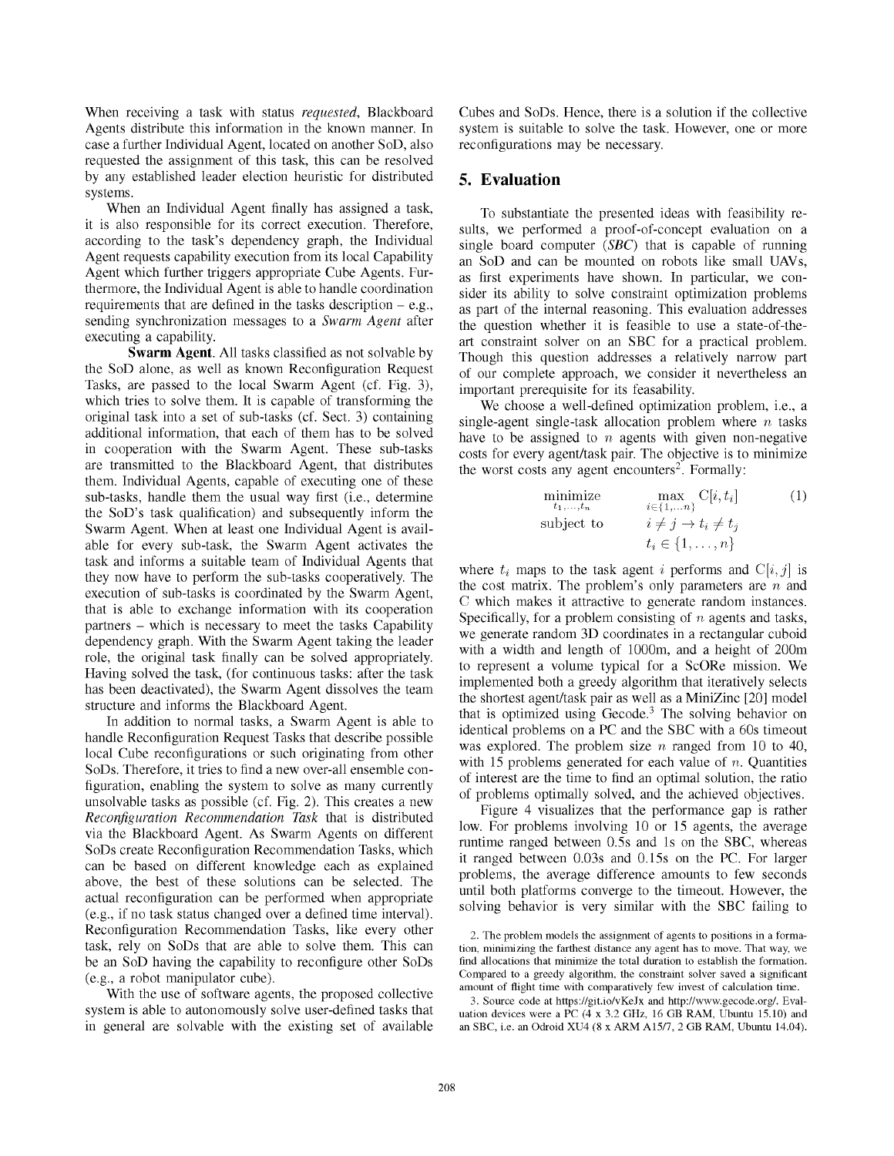When receiving a task with status *requested*, Blackboard Agents distribute this information in the known manner. In case a further Individual Agent, located on another SoD, also requested the assignment of this task, this can be resolved by any established leader election heuristic for distributed systems.

When an Individual Agent finally has assigned a task, it is also responsible for its correct execution. Therefore, according to the task's dependency graph, the Individual Agent requests capability execution from its local Capability Agent which further triggers appropriate Cube Agents. Furthermore, the Individual Agent is able to handle coordination requirements that are defined in the tasks description – e.g., sending synchronization messages to a *Swarm Agent* after executing a capability.

Swarm Agent. All tasks classified as not solvable by the SoD alone, as well as known Reconfiguration Request Tasks, are passed to the local Swarm Agent (cf. Fig. 3), which tries to solve them. It is capable of transforming the original task into a set of sub-tasks (cf. Sect. 3) containing additional information, that each of them has to be solved in cooperation with the Swarm Agent. These sub-tasks are transmitted to the Blackboard Agent, that distributes them. Individual Agents, capable of executing one of these sub-tasks, handle them the usual way first (i.e., determine the SoD's task qualification) and subsequently inform the Swarm Agent. When at least one Individual Agent is available for every sub-task, the Swarm Agent activates the task and informs a suitable team of Individual Agents that they now have to perform the sub-tasks cooperatively. The execution of sub-tasks is coordinated by the Swarm Agent, that is able to exchange information with its cooperation partners – which is necessary to meet the tasks Capability dependency graph. With the Swarm Agent taking the leader role, the original task finally can be solved appropriately. Having solved the task, (for continuous tasks: after the task has been deactivated), the Swarm Agent dissolves the team structure and informs the Blackboard Agent.

In addition to normal tasks, a Swarm Agent is able to handle Reconfiguration Request Tasks that describe possible local Cube reconfigurations or such originating from other SoDs. Therefore, it tries to find a new over-all ensemble configuration, enabling the system to solve as many currently unsolvable tasks as possible (cf. Fig. 2). This creates a new *Reconfiguration Recommendation Task* that is distributed via the Blackboard Agent. As Swarm Agents on different SoDs create Reconfiguration Recommendation Tasks, which can be based on different knowledge each as explained above, the best of these solutions can be selected. The actual reconfiguration can be performed when appropriate (e.g., if no task status changed over a defined time interval). Reconfiguration Recommendation Tasks, like every other task, rely on SoDs that are able to solve them. This can be an SoD having the capability to reconfigure other SoDs (e.g., a robot manipulator cube).

With the use of software agents, the proposed collective system is able to autonomously solve user-defined tasks that in general are solvable with the existing set of available Cubes and SoDs. Hence, there is a solution if the collective system is suitable to solve the task. However, one or more reconfigurations may be necessary.

# 5. Evaluation

To substantiate the presented ideas with feasibility results, we performed a proof-of-concept evaluation on a single board computer (*SBC*) that is capable of running an SoD and can be mounted on robots like small UAVs, as first experiments have shown. In particular, we consider its ability to solve constraint optimization problems as part of the internal reasoning. This evaluation addresses the question whether it is feasible to use a state-of-theart constraint solver on an SBC for a practical problem. Though this question addresses a relatively narrow part of our complete approach, we consider it nevertheless an important prerequisite for its feasability.

We choose a well-defined optimization problem, i.e., a single-agent single-task allocation problem where  $n$  tasks have to be assigned to  $n$  agents with given non-negative costs for every agent/task pair. The objective is to minimize the worst costs any agent encounters 2 . Formally:

minimize 
$$
\max_{t_1,\ldots,t_n} C[i,t_i]
$$
 (1)  
subject to 
$$
i \neq j \rightarrow t_i \neq t_j
$$

$$
t_i \in \{1,\ldots,n\}
$$

where  $t_i$  maps to the task agent i performs and  $C[i, j]$  is the cost matrix. The problem's only parameters are  $n$  and C which makes it attractive to generate random instances. Specifically, for a problem consisting of  $n$  agents and tasks, we generate random 3D coordinates in a rectangular cuboid with a width and length of 1000m, and a height of 200m to represent a volume typical for a ScORe mission. We implemented both a greedy algorithm that iteratively selects the shortest agent/task pair as well as a MiniZinc [20] model that is optimized using Gecode. <sup>3</sup> The solving behavior on identical problems on a PC and the SBC with a 60s timeout was explored. The problem size  $n$  ranged from 10 to 40, with 15 problems generated for each value of  $n$ . Quantities of interest are the time to find an optimal solution, the ratio of problems optimally solved, and the achieved objectives.

Figure 4 visualizes that the performance gap is rather low. For problems involving 10 or 15 agents, the average runtime ranged between 0.5s and 1s on the SBC, whereas it ranged between 0.03s and 0.15s on the PC. For larger problems, the average difference amounts to few seconds until both platforms converge to the timeout. However, the solving behavior is very similar with the SBC failing to

<sup>2.</sup> The problem models the assignment of agents to positions in a formation, minimizing the farthest distance any agent has to move. That way, we find allocations that minimize the total duration to establish the formation. Compared to a greedy algorithm, the constraint solver saved a significant amount of flight time with comparatively few invest of calculation time.

<sup>3.</sup> Source code at https://git.io/vKeJx and http://www.gecode.org/. Evaluation devices were a PC (4 x 3.2 GHz, 16 GB RAM, Ubuntu 15.10) and an SBC, i.e. an Odroid XU4 (8 x ARM A15/7, 2 GB RAM, Ubuntu 14.04).